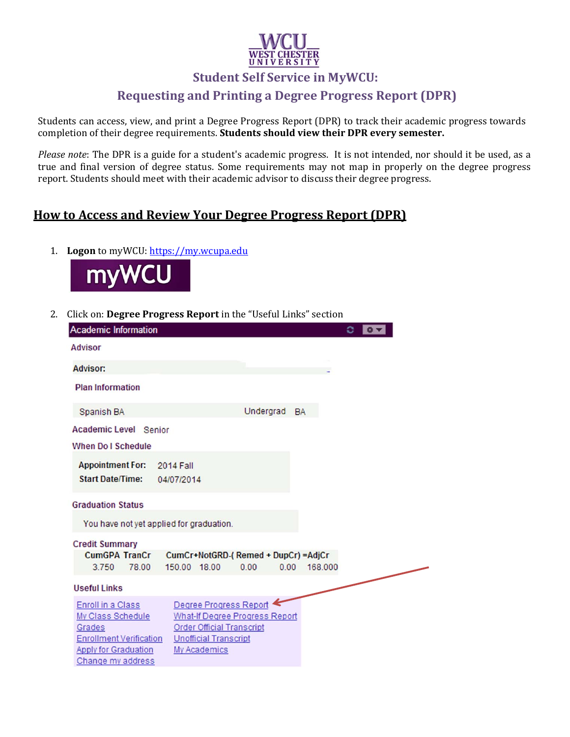# UNIVERSITY **Student Self Service in MyWCU:**

# **Requesting and Printing a Degree Progress Report (DPR)**

Students can access, view, and print a Degree Progress Report (DPR) to track their academic progress towards completion of their degree requirements. **Students should view their DPR every semester.**

*Please note*: The DPR is a guide for a student's academic progress. It is not intended, nor should it be used, as a true and final version of degree status. Some requirements may not map in properly on the degree progress report. Students should meet with their academic advisor to discuss their degree progress.

## **How to Access and Review Your Degree Progress Report (DPR)**

1. Logon to myWCU: https://my.wcupa.edu



2. Click on: **Degree Progress Report** in the "Useful Links" section

| <b>Academic Information</b>                                                                                                                                                                                                                                 |                                       |           | ٥ |
|-------------------------------------------------------------------------------------------------------------------------------------------------------------------------------------------------------------------------------------------------------------|---------------------------------------|-----------|---|
| Advisor                                                                                                                                                                                                                                                     |                                       |           |   |
| <b>Advisor:</b>                                                                                                                                                                                                                                             |                                       |           |   |
| <b>Plan Information</b>                                                                                                                                                                                                                                     |                                       |           |   |
| Spanish BA                                                                                                                                                                                                                                                  | Undergrad                             | <b>BA</b> |   |
| <b>Academic Level Senior</b>                                                                                                                                                                                                                                |                                       |           |   |
| <b>When Do I Schedule</b>                                                                                                                                                                                                                                   |                                       |           |   |
| <b>Appointment For:</b><br><b>2014 Fall</b><br><b>Start Date/Time:</b><br>04/07/2014                                                                                                                                                                        |                                       |           |   |
| <b>Graduation Status</b>                                                                                                                                                                                                                                    |                                       |           |   |
| You have not yet applied for graduation.                                                                                                                                                                                                                    |                                       |           |   |
| <b>Credit Summary</b><br><b>CumGPA TranCr</b><br>CumCr+NotGRD-(Remed + DupCr) = AdjCr<br>150.00 18.00<br>3.750<br>78.00                                                                                                                                     | 0.00<br>0.00                          | 168,000   |   |
| <b>Useful Links</b>                                                                                                                                                                                                                                         |                                       |           |   |
| Degree Progress Report<br><b>Enroll in a Class</b><br>My Class Schedule<br><b>Order Official Transcript</b><br>Grades<br><b>Enrollment Verification</b><br><b>Unofficial Transcript</b><br><b>Apply for Graduation</b><br>My Academics<br>Change my address | <b>What-If Degree Progress Report</b> |           |   |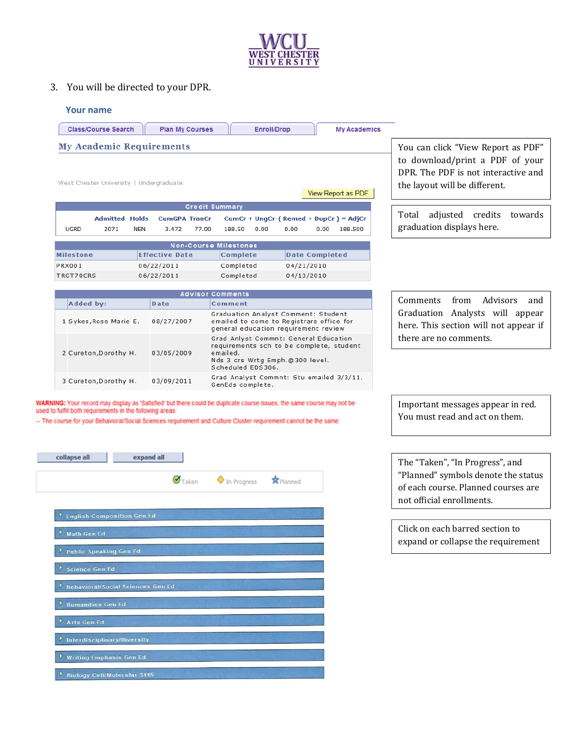

3. You will be directed to your DPR.

#### **Your name**

| <b>Class/Course Search</b>              |            | <b>Plan My Courses</b> |                       |                                                                                                                         | <b>Enroll/Drop</b> |            |                                    | <b>My Academics</b>                     |                                                                                                         |
|-----------------------------------------|------------|------------------------|-----------------------|-------------------------------------------------------------------------------------------------------------------------|--------------------|------------|------------------------------------|-----------------------------------------|---------------------------------------------------------------------------------------------------------|
| <b>My Academic Requirements</b>         |            |                        |                       |                                                                                                                         |                    |            | You can click "View Report as PDF" |                                         |                                                                                                         |
| West Chester University   Undergraduate |            |                        |                       |                                                                                                                         |                    |            |                                    | View Report as PDF                      | to download/print a PDF of your<br>DPR. The PDF is not interactive and<br>the layout will be different. |
|                                         |            |                        | <b>Credit Summary</b> |                                                                                                                         |                    |            |                                    |                                         |                                                                                                         |
| <b>Admitted Holds</b>                   |            | <b>CumGPA TranCr</b>   |                       |                                                                                                                         |                    |            |                                    | $CumCr + UngCr-(Remed + DupCr) = AdjCr$ | adjusted<br>credits<br>Total<br>towards                                                                 |
| <b>UGRD</b><br>2071                     | <b>NEN</b> | 3.472                  | 77.00                 | 188.50                                                                                                                  | 0.00               | 0.00       | 0.00                               | 188,500                                 | graduation displays here.                                                                               |
|                                         |            |                        |                       | <b>Non-Course Milestones</b>                                                                                            |                    |            |                                    |                                         |                                                                                                         |
| <b>Milestone</b>                        |            | <b>Effective Date</b>  |                       | Complete                                                                                                                |                    |            | <b>Date Completed</b>              |                                         |                                                                                                         |
| <b>PRX001</b>                           |            | 06/22/2011             |                       | Completed                                                                                                               |                    | 04/21/2010 |                                    |                                         |                                                                                                         |
| TRGT70CRS                               |            | 06/22/2011             |                       | Completed                                                                                                               |                    | 04/13/2010 |                                    |                                         |                                                                                                         |
|                                         |            |                        |                       |                                                                                                                         |                    |            |                                    |                                         |                                                                                                         |
|                                         |            |                        |                       | <b>Advisor Comments</b>                                                                                                 |                    |            |                                    |                                         | <b>Advisors</b><br>Comments<br>from<br>and                                                              |
| Added by:                               |            | Date                   |                       | Comment                                                                                                                 |                    |            |                                    |                                         |                                                                                                         |
| 1 Sykes, Rose Marie E.                  |            | 08/27/2007             |                       | Graduation Analyst Comment: Student<br>emailed to come to Registrars office for<br>general education requirement review |                    |            |                                    |                                         | Graduation Analysts will appear<br>here. This section will not appear if                                |
|                                         |            |                        |                       | Grad Anlyst Commnt: General Education                                                                                   |                    |            |                                    |                                         | there are no comments.                                                                                  |

|                        |            | AUVISUL COMMENTS                                                                                                                                      |
|------------------------|------------|-------------------------------------------------------------------------------------------------------------------------------------------------------|
| Added by:              | Date       | Comment                                                                                                                                               |
| 1 Sykes, Rose Marie E. | 08/27/2007 | Graduation Analyst Comment: Student<br>emailed to come to Registrars office for<br>general education requirement review                               |
| 2 Cureton, Dorothy H.  | 03/05/2009 | Grad Anlyst Commnt: General Education<br>requirements sch to be complete, student<br>emailed.<br>Nds 3 crs Wrtg Emph.@300 level.<br>Scheduled EDS306. |
| 3 Cureton, Dorothy H.  | 03/09/2011 | Grad Analyst Commnt: Stu emailed 3/3/11.<br>GenEds complete.                                                                                          |

WARNING: Your record may display as 'Satisfied' but there could be duplicate course issues; the same course may not be used to fulfill both requirements in the following areas:

-- The course for your Behavioral/Social Sciences requirement and Culture Cluster requirement cannot be the same.

| collapse all | expand all |                                                      |  |
|--------------|------------|------------------------------------------------------|--|
|              |            | $\sigma$ Taken $\bullet$ In Progress $\star$ Planned |  |

| D<br><b>English Composition Gen Ed</b>             |
|----------------------------------------------------|
| <b>Math Gen Ed</b>                                 |
| <b>Public Speaking Gen Ed</b>                      |
| Science Gen Ed                                     |
| Behavioral/Social Sciences Gen Ed                  |
| <b>Humanities Gen Ed</b>                           |
| Arts Gen Ed                                        |
| Interdisciplinary/Diversity                        |
| <b>Writing Emphasis Gen Ed</b><br>$\triangleright$ |
| <b>Biology Cell/Molecular S115</b>                 |

Important messages appear in red. You must read and act on them.

The "Taken", "In Progress", and "Planned" symbols denote the status of each course. Planned courses are not official enrollments.

Click on each barred section to expand or collapse the requirement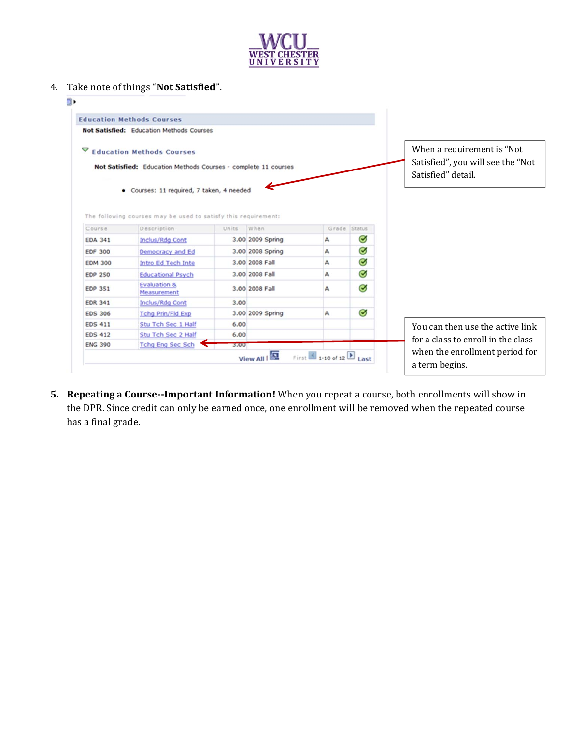

4. Take note of things "Not Satisfied".

|                | <b>Education Methods Courses</b>                               |                                   |                  |              |           |                                                                                                          |
|----------------|----------------------------------------------------------------|-----------------------------------|------------------|--------------|-----------|----------------------------------------------------------------------------------------------------------|
|                | Not Satisfied: Education Methods Courses                       |                                   |                  |              |           |                                                                                                          |
|                |                                                                |                                   |                  |              |           |                                                                                                          |
|                | <b>Education Methods Courses</b>                               | When a requirement is "Not        |                  |              |           |                                                                                                          |
|                | Not Satisfied: Education Methods Courses - complete 11 courses | Satisfied", you will see the "Not |                  |              |           |                                                                                                          |
|                |                                                                |                                   |                  |              |           | Satisfied" detail.                                                                                       |
|                | · Courses: 11 required, 7 taken, 4 needed                      |                                   |                  |              |           |                                                                                                          |
|                |                                                                |                                   |                  |              |           |                                                                                                          |
|                |                                                                |                                   |                  |              |           |                                                                                                          |
|                | The following courses may be used to satisfy this requirement: |                                   |                  |              |           |                                                                                                          |
| Course         | Description                                                    | Units                             | When             | Grade Status |           |                                                                                                          |
| <b>EDA 341</b> | <b>Inclus/Rdg Cont</b>                                         |                                   | 3.00 2009 Spring | A            | $\bullet$ |                                                                                                          |
|                | Democracy and Ed                                               |                                   | 3.00 2008 Spring | А            | $\bullet$ |                                                                                                          |
| <b>EDF 300</b> |                                                                |                                   |                  |              |           |                                                                                                          |
| <b>EDM 300</b> | <b>Intro Ed Tech Inte</b>                                      |                                   | 3.00 2008 Fall   | А            | $\bullet$ |                                                                                                          |
| <b>EDP 250</b> | <b>Educational Psych</b>                                       |                                   | 3.00 2008 Fall   | А            | Ø         |                                                                                                          |
| <b>EDP 351</b> | <b>Evaluation &amp;</b><br>Measurement                         |                                   | 3.00 2008 Fall   | А            | Ø         |                                                                                                          |
| <b>EDR 341</b> | Inclus/Rdg Cont                                                | 3.00                              |                  |              |           |                                                                                                          |
| <b>EDS 306</b> | <b>Tchg Prin/Fld Exp</b>                                       |                                   | 3.00 2009 Spring | А            | Ø         |                                                                                                          |
| <b>EDS 411</b> | Stu Tch Sec 1 Half                                             | 6.00                              |                  |              |           |                                                                                                          |
| <b>EDS 412</b> | Stu Tch Sec 2 Half                                             | 6.00                              |                  |              |           |                                                                                                          |
| <b>ENG 390</b> | <b>Tchg Eng Sec Sch</b>                                        | 3.00                              |                  |              |           | You can then use the active link<br>for a class to enroll in the class<br>when the enrollment period for |

**5.** Repeating a Course--Important Information! When you repeat a course, both enrollments will show in the DPR. Since credit can only be earned once, one enrollment will be removed when the repeated course has a final grade.